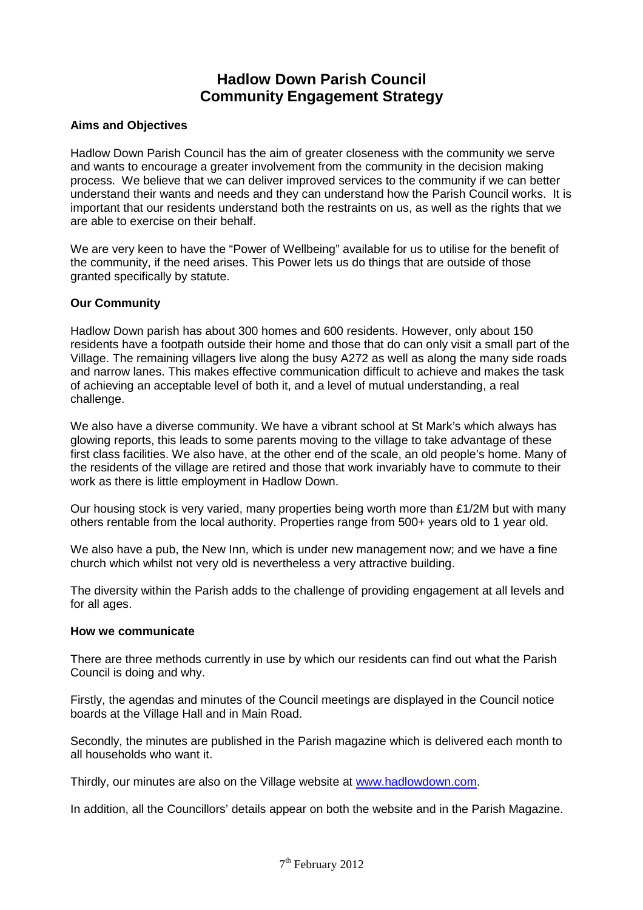# **Hadlow Down Parish Council Community Engagement Strategy**

## **Aims and Objectives**

Hadlow Down Parish Council has the aim of greater closeness with the community we serve and wants to encourage a greater involvement from the community in the decision making process. We believe that we can deliver improved services to the community if we can better understand their wants and needs and they can understand how the Parish Council works. It is important that our residents understand both the restraints on us, as well as the rights that we are able to exercise on their behalf.

We are very keen to have the "Power of Wellbeing" available for us to utilise for the benefit of the community, if the need arises. This Power lets us do things that are outside of those granted specifically by statute.

## **Our Community**

Hadlow Down parish has about 300 homes and 600 residents. However, only about 150 residents have a footpath outside their home and those that do can only visit a small part of the Village. The remaining villagers live along the busy A272 as well as along the many side roads and narrow lanes. This makes effective communication difficult to achieve and makes the task of achieving an acceptable level of both it, and a level of mutual understanding, a real challenge.

We also have a diverse community. We have a vibrant school at St Mark's which always has glowing reports, this leads to some parents moving to the village to take advantage of these first class facilities. We also have, at the other end of the scale, an old people's home. Many of the residents of the village are retired and those that work invariably have to commute to their work as there is little employment in Hadlow Down.

Our housing stock is very varied, many properties being worth more than  $£1/2M$  but with many others rentable from the local authority. Properties range from 500+ years old to 1 year old.

We also have a pub, the New Inn, which is under new management now; and we have a fine church which whilst not very old is nevertheless a very attractive building.

The diversity within the Parish adds to the challenge of providing engagement at all levels and for all ages.

## **How we communicate**

There are three methods currently in use by which our residents can find out what the Parish Council is doing and why.

Firstly, the agendas and minutes of the Council meetings are displayed in the Council notice boards at the Village Hall and in Main Road.

Secondly, the minutes are published in the Parish magazine which is delivered each month to all households who want it.

Thirdly, our minutes are also on the Village website at www.hadlowdown.com.

In addition, all the Councillors' details appear on both the website and in the Parish Magazine.